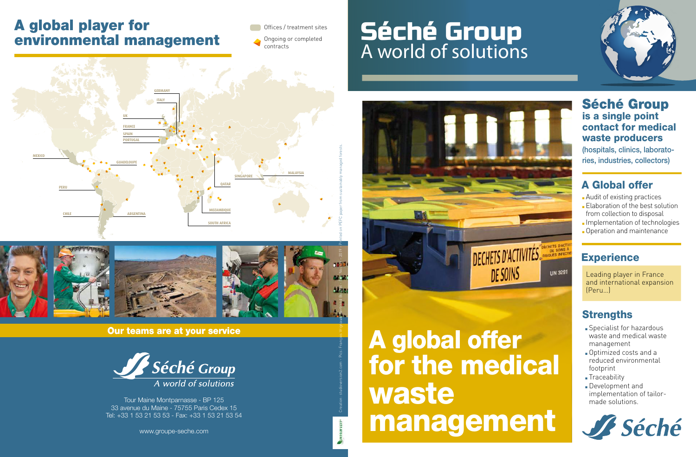### A global player for environmental management

Offices / treatment sites Ongoing or completed

contracts

**MEXICO PORTUGAL SPAIN FRANCE UK GERMANY ITALY QATAR MALAYSIA SINGAPORE PERU CHILE ARGENTINA GUADELOUPE SOUTH AFRICA MOZAMBIQUE** Creation: studioversion2.com - Pics: François Vrignaud, Bertrand Bouflet - Eric Nocher - 2019 - Printed on PEFC paper from sustainably managed forests.



Our teams are at your service



Tour Maine Montparnasse - BP 125 33 avenue du Maine - 75755 Paris Cedex 15 Tel: +33 1 53 21 53 53 - Fax: +33 1 53 21 53 54

www.groupe-seche.com

### Séché Group A world of solutions



# A global offer for the medical waste management

Séché Group is a single point contact for medical waste producers (hospitals, clinics, laboratories, industries, collectors)

#### A Global offer

- **Audit of existing practices Elaboration of the best solution** from collection to disposal
- **n** Implementation of technologies
- **n** Operation and maintenance

#### **Experience**

Leading player in France and international expansion (Peru…)

#### **Strengths**

- **Specialist for hazardous** waste and medical waste management
- **.** Optimized costs and a reduced environmental footprint
- **Traceability**
- Development and implementation of tailormade solutions.